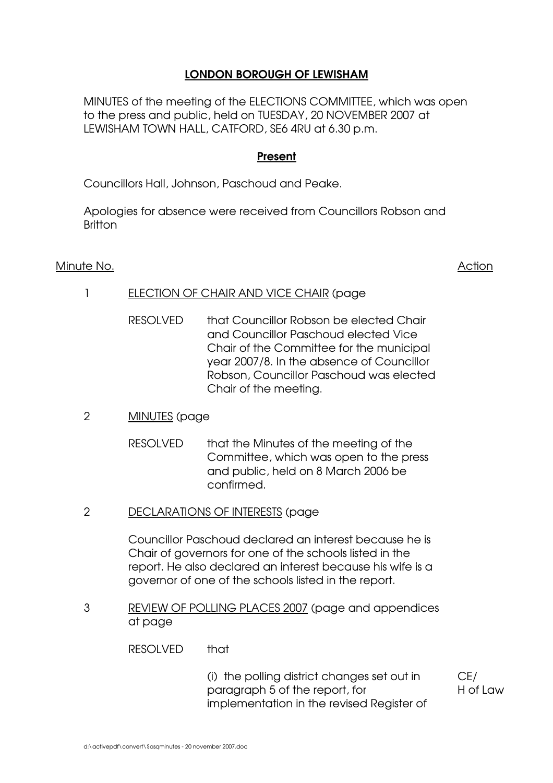# **LONDON BOROUGH OF LEWISHAM**

MINUTES of the meeting of the ELECTIONS COMMITTEE, which was open to the press and public, held on TUESDAY, 20 NOVEMBER 2007 at LEWISHAM TOWN HALL, CATFORD, SE6 4RU at 6.30 p.m.

## **Present**

Councillors Hall, Johnson, Paschoud and Peake.

Apologies for absence were received from Councillors Robson and Britton

## Minute No. Action Action Action Action Action Action Action Action Action Action Action Action Action Action Action Action Action Action Action Action Action Action Action Action Action Action Action Action Action Action A

- 1 ELECTION OF CHAIR AND VICE CHAIR (page
	- RESOLVED that Councillor Robson be elected Chair and Councillor Paschoud elected Vice Chair of the Committee for the municipal year 2007/8. In the absence of Councillor Robson, Councillor Paschoud was elected Chair of the meeting.

## 2 MINUTES (page

- RESOLVED that the Minutes of the meeting of the Committee, which was open to the press and public, held on 8 March 2006 be confirmed.
- 2 DECLARATIONS OF INTERESTS (page

Councillor Paschoud declared an interest because he is Chair of governors for one of the schools listed in the report. He also declared an interest because his wife is a governor of one of the schools listed in the report.

3 REVIEW OF POLLING PLACES 2007 (page and appendices at page

RESOLVED that

(i) the polling district changes set out in paragraph 5 of the report, for implementation in the revised Register of CE/ H of Law